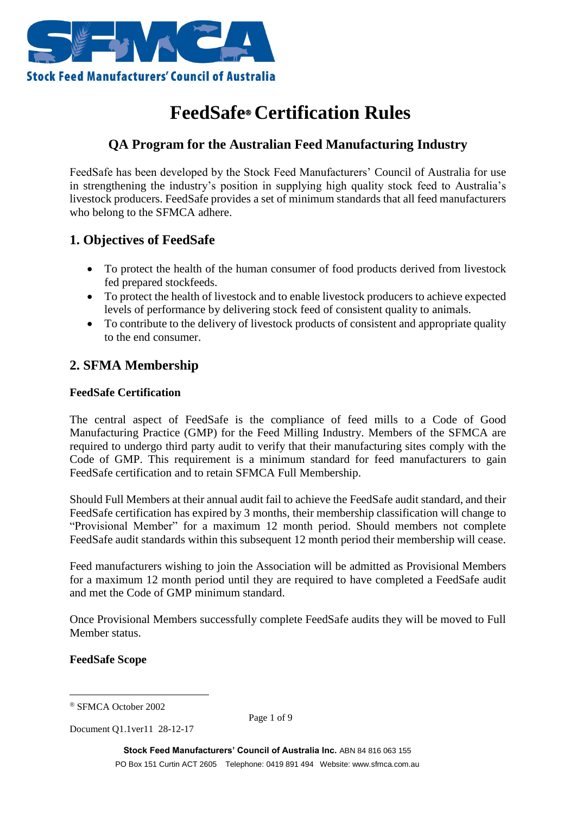

# **FeedSafe Certification Rules**

## **QA Program for the Australian Feed Manufacturing Industry**

FeedSafe has been developed by the Stock Feed Manufacturers' Council of Australia for use in strengthening the industry's position in supplying high quality stock feed to Australia's livestock producers. FeedSafe provides a set of minimum standards that all feed manufacturers who belong to the SFMCA adhere.

## **1. Objectives of FeedSafe**

- To protect the health of the human consumer of food products derived from livestock fed prepared stockfeeds.
- To protect the health of livestock and to enable livestock producers to achieve expected levels of performance by delivering stock feed of consistent quality to animals.
- To contribute to the delivery of livestock products of consistent and appropriate quality to the end consumer.

## **2. SFMA Membership**

#### **FeedSafe Certification**

The central aspect of FeedSafe is the compliance of feed mills to a Code of Good Manufacturing Practice (GMP) for the Feed Milling Industry. Members of the SFMCA are required to undergo third party audit to verify that their manufacturing sites comply with the Code of GMP. This requirement is a minimum standard for feed manufacturers to gain FeedSafe certification and to retain SFMCA Full Membership.

Should Full Members at their annual audit fail to achieve the FeedSafe audit standard, and their FeedSafe certification has expired by 3 months, their membership classification will change to "Provisional Member" for a maximum 12 month period. Should members not complete FeedSafe audit standards within this subsequent 12 month period their membership will cease.

Feed manufacturers wishing to join the Association will be admitted as Provisional Members for a maximum 12 month period until they are required to have completed a FeedSafe audit and met the Code of GMP minimum standard.

Once Provisional Members successfully complete FeedSafe audits they will be moved to Full Member status.

**FeedSafe Scope**

<u>.</u>

Page 1 of 9

Document Q1.1ver11 28-12-17

SFMCA October 2002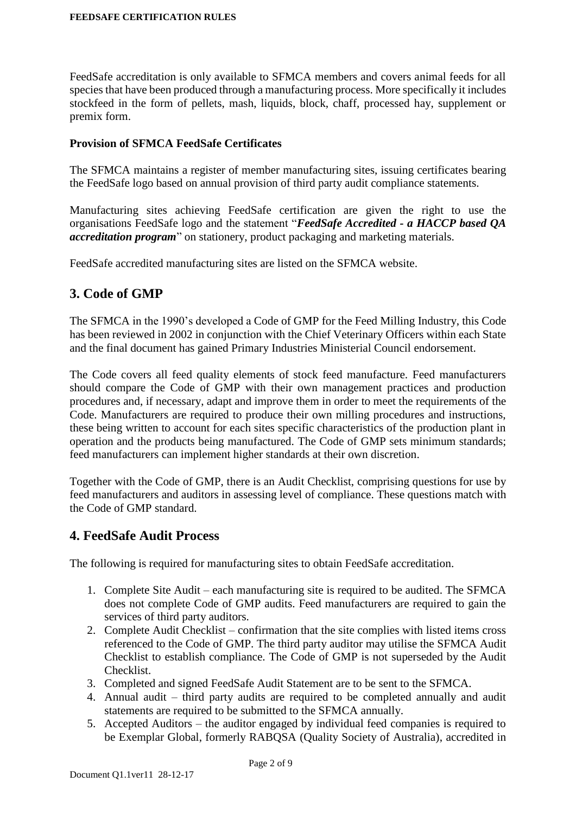FeedSafe accreditation is only available to SFMCA members and covers animal feeds for all species that have been produced through a manufacturing process. More specifically it includes stockfeed in the form of pellets, mash, liquids, block, chaff, processed hay, supplement or premix form.

#### **Provision of SFMCA FeedSafe Certificates**

The SFMCA maintains a register of member manufacturing sites, issuing certificates bearing the FeedSafe logo based on annual provision of third party audit compliance statements.

Manufacturing sites achieving FeedSafe certification are given the right to use the organisations FeedSafe logo and the statement "*FeedSafe Accredited - a HACCP based QA accreditation program*" on stationery, product packaging and marketing materials.

FeedSafe accredited manufacturing sites are listed on the SFMCA website.

### **3. Code of GMP**

The SFMCA in the 1990's developed a Code of GMP for the Feed Milling Industry, this Code has been reviewed in 2002 in conjunction with the Chief Veterinary Officers within each State and the final document has gained Primary Industries Ministerial Council endorsement.

The Code covers all feed quality elements of stock feed manufacture. Feed manufacturers should compare the Code of GMP with their own management practices and production procedures and, if necessary, adapt and improve them in order to meet the requirements of the Code. Manufacturers are required to produce their own milling procedures and instructions, these being written to account for each sites specific characteristics of the production plant in operation and the products being manufactured. The Code of GMP sets minimum standards; feed manufacturers can implement higher standards at their own discretion.

Together with the Code of GMP, there is an Audit Checklist, comprising questions for use by feed manufacturers and auditors in assessing level of compliance. These questions match with the Code of GMP standard.

### **4. FeedSafe Audit Process**

The following is required for manufacturing sites to obtain FeedSafe accreditation.

- 1. Complete Site Audit each manufacturing site is required to be audited. The SFMCA does not complete Code of GMP audits. Feed manufacturers are required to gain the services of third party auditors.
- 2. Complete Audit Checklist confirmation that the site complies with listed items cross referenced to the Code of GMP. The third party auditor may utilise the SFMCA Audit Checklist to establish compliance. The Code of GMP is not superseded by the Audit Checklist.
- 3. Completed and signed FeedSafe Audit Statement are to be sent to the SFMCA.
- 4. Annual audit third party audits are required to be completed annually and audit statements are required to be submitted to the SFMCA annually.
- 5. Accepted Auditors the auditor engaged by individual feed companies is required to be Exemplar Global, formerly RABQSA (Quality Society of Australia), accredited in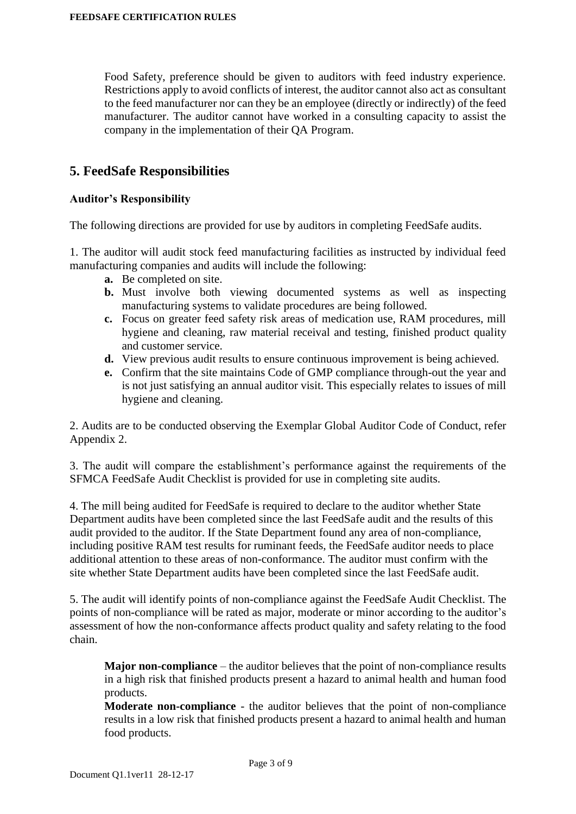Food Safety, preference should be given to auditors with feed industry experience. Restrictions apply to avoid conflicts of interest, the auditor cannot also act as consultant to the feed manufacturer nor can they be an employee (directly or indirectly) of the feed manufacturer. The auditor cannot have worked in a consulting capacity to assist the company in the implementation of their QA Program.

### **5. FeedSafe Responsibilities**

#### **Auditor's Responsibility**

The following directions are provided for use by auditors in completing FeedSafe audits.

1. The auditor will audit stock feed manufacturing facilities as instructed by individual feed manufacturing companies and audits will include the following:

- **a.** Be completed on site.
- **b.** Must involve both viewing documented systems as well as inspecting manufacturing systems to validate procedures are being followed.
- **c.** Focus on greater feed safety risk areas of medication use, RAM procedures, mill hygiene and cleaning, raw material receival and testing, finished product quality and customer service.
- **d.** View previous audit results to ensure continuous improvement is being achieved.
- **e.** Confirm that the site maintains Code of GMP compliance through-out the year and is not just satisfying an annual auditor visit. This especially relates to issues of mill hygiene and cleaning.

2. Audits are to be conducted observing the Exemplar Global Auditor Code of Conduct, refer Appendix 2.

3. The audit will compare the establishment's performance against the requirements of the SFMCA FeedSafe Audit Checklist is provided for use in completing site audits.

4. The mill being audited for FeedSafe is required to declare to the auditor whether State Department audits have been completed since the last FeedSafe audit and the results of this audit provided to the auditor. If the State Department found any area of non-compliance, including positive RAM test results for ruminant feeds, the FeedSafe auditor needs to place additional attention to these areas of non-conformance. The auditor must confirm with the site whether State Department audits have been completed since the last FeedSafe audit.

5. The audit will identify points of non-compliance against the FeedSafe Audit Checklist. The points of non-compliance will be rated as major, moderate or minor according to the auditor's assessment of how the non-conformance affects product quality and safety relating to the food chain.

**Major non-compliance** – the auditor believes that the point of non-compliance results in a high risk that finished products present a hazard to animal health and human food products.

**Moderate non-compliance** - the auditor believes that the point of non-compliance results in a low risk that finished products present a hazard to animal health and human food products.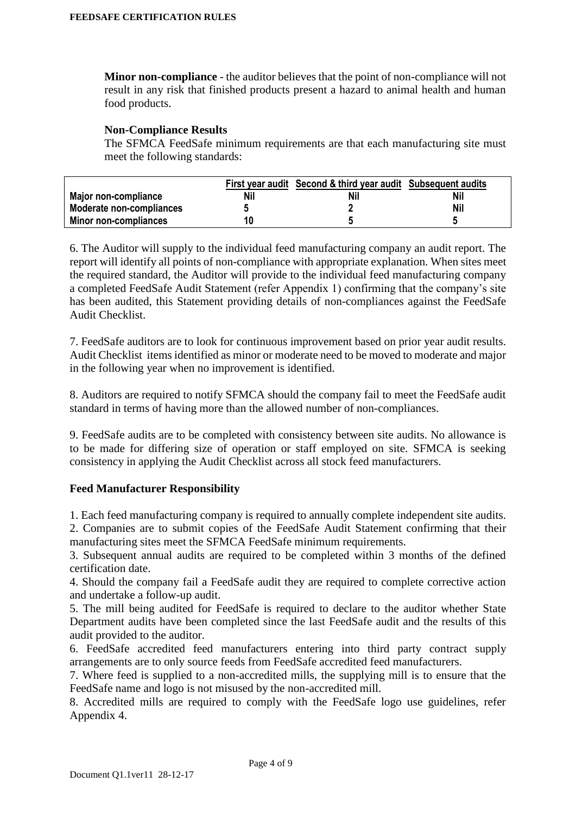**Minor non-compliance** - the auditor believes that the point of non-compliance will not result in any risk that finished products present a hazard to animal health and human food products.

#### **Non-Compliance Results**

The SFMCA FeedSafe minimum requirements are that each manufacturing site must meet the following standards:

|                          |     | First year audit Second & third year audit Subsequent audits |     |
|--------------------------|-----|--------------------------------------------------------------|-----|
| Major non-compliance     | Nil | Nil                                                          | Nil |
| Moderate non-compliances |     |                                                              | Nil |
| Minor non-compliances    | 10  |                                                              |     |

6. The Auditor will supply to the individual feed manufacturing company an audit report. The report will identify all points of non-compliance with appropriate explanation. When sites meet the required standard, the Auditor will provide to the individual feed manufacturing company a completed FeedSafe Audit Statement (refer Appendix 1) confirming that the company's site has been audited, this Statement providing details of non-compliances against the FeedSafe Audit Checklist.

7. FeedSafe auditors are to look for continuous improvement based on prior year audit results. Audit Checklist items identified as minor or moderate need to be moved to moderate and major in the following year when no improvement is identified.

8. Auditors are required to notify SFMCA should the company fail to meet the FeedSafe audit standard in terms of having more than the allowed number of non-compliances.

9. FeedSafe audits are to be completed with consistency between site audits. No allowance is to be made for differing size of operation or staff employed on site. SFMCA is seeking consistency in applying the Audit Checklist across all stock feed manufacturers.

#### **Feed Manufacturer Responsibility**

1. Each feed manufacturing company is required to annually complete independent site audits.

2. Companies are to submit copies of the FeedSafe Audit Statement confirming that their manufacturing sites meet the SFMCA FeedSafe minimum requirements.

3. Subsequent annual audits are required to be completed within 3 months of the defined certification date.

4. Should the company fail a FeedSafe audit they are required to complete corrective action and undertake a follow-up audit.

5. The mill being audited for FeedSafe is required to declare to the auditor whether State Department audits have been completed since the last FeedSafe audit and the results of this audit provided to the auditor.

6. FeedSafe accredited feed manufacturers entering into third party contract supply arrangements are to only source feeds from FeedSafe accredited feed manufacturers.

7. Where feed is supplied to a non-accredited mills, the supplying mill is to ensure that the FeedSafe name and logo is not misused by the non-accredited mill.

8. Accredited mills are required to comply with the FeedSafe logo use guidelines, refer Appendix 4.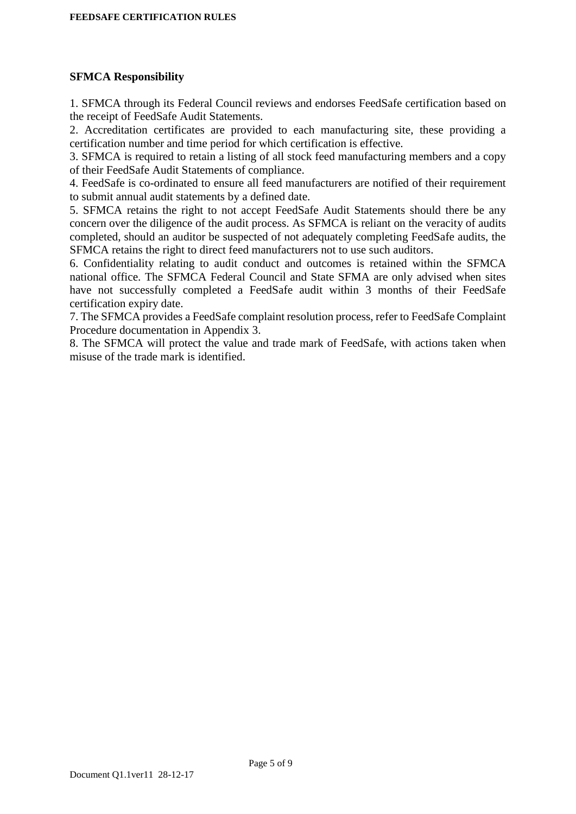#### **SFMCA Responsibility**

1. SFMCA through its Federal Council reviews and endorses FeedSafe certification based on the receipt of FeedSafe Audit Statements.

2. Accreditation certificates are provided to each manufacturing site, these providing a certification number and time period for which certification is effective.

3. SFMCA is required to retain a listing of all stock feed manufacturing members and a copy of their FeedSafe Audit Statements of compliance.

4. FeedSafe is co-ordinated to ensure all feed manufacturers are notified of their requirement to submit annual audit statements by a defined date.

5. SFMCA retains the right to not accept FeedSafe Audit Statements should there be any concern over the diligence of the audit process. As SFMCA is reliant on the veracity of audits completed, should an auditor be suspected of not adequately completing FeedSafe audits, the SFMCA retains the right to direct feed manufacturers not to use such auditors.

6. Confidentiality relating to audit conduct and outcomes is retained within the SFMCA national office. The SFMCA Federal Council and State SFMA are only advised when sites have not successfully completed a FeedSafe audit within 3 months of their FeedSafe certification expiry date.

7. The SFMCA provides a FeedSafe complaint resolution process, refer to FeedSafe Complaint Procedure documentation in Appendix 3.

8. The SFMCA will protect the value and trade mark of FeedSafe, with actions taken when misuse of the trade mark is identified.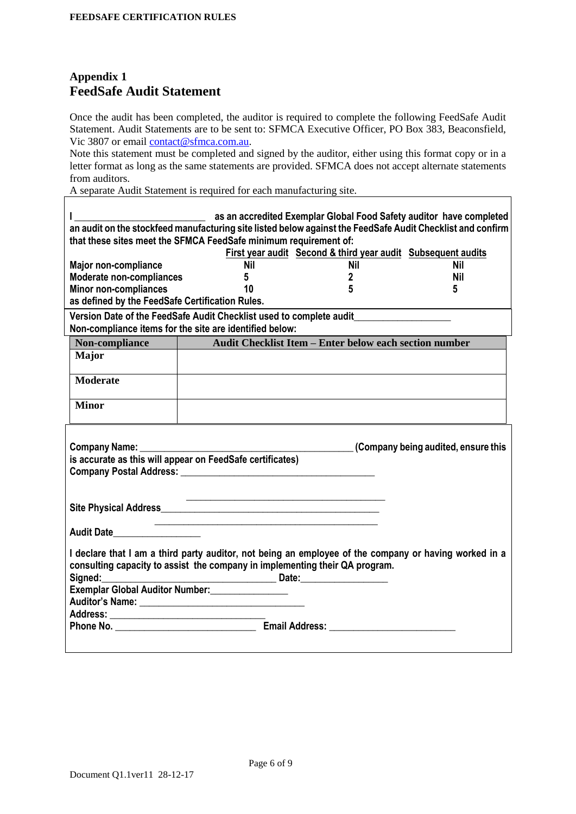## **Appendix 1 FeedSafe Audit Statement**

 $\overline{1}$ 

Once the audit has been completed, the auditor is required to complete the following FeedSafe Audit Statement. Audit Statements are to be sent to: SFMCA Executive Officer, PO Box 383, Beaconsfield, Vic 3807 or email [contact@sfmca.com.au.](mailto:contact@sfmca.com.au)

Note this statement must be completed and signed by the auditor, either using this format copy or in a letter format as long as the same statements are provided. SFMCA does not accept alternate statements from auditors.

٦

A separate Audit Statement is required for each manufacturing site.

|                                                                     | as an accredited Exemplar Global Food Safety auditor have completed<br>an audit on the stockfeed manufacturing site listed below against the FeedSafe Audit Checklist and confirm<br>that these sites meet the SFMCA FeedSafe minimum requirement of: |                                                              |            |  |  |
|---------------------------------------------------------------------|-------------------------------------------------------------------------------------------------------------------------------------------------------------------------------------------------------------------------------------------------------|--------------------------------------------------------------|------------|--|--|
|                                                                     |                                                                                                                                                                                                                                                       | First year audit Second & third year audit Subsequent audits |            |  |  |
| <b>Major non-compliance</b>                                         | <b>Nil</b>                                                                                                                                                                                                                                            | <b>Nil</b>                                                   | Nil        |  |  |
| <b>Moderate non-compliances</b>                                     | 5                                                                                                                                                                                                                                                     | 2                                                            | <b>Nil</b> |  |  |
| <b>Minor non-compliances</b>                                        | 10                                                                                                                                                                                                                                                    | 5                                                            | 5          |  |  |
| as defined by the FeedSafe Certification Rules.                     |                                                                                                                                                                                                                                                       |                                                              |            |  |  |
| Version Date of the FeedSafe Audit Checklist used to complete audit |                                                                                                                                                                                                                                                       |                                                              |            |  |  |
| Non-compliance items for the site are identified below:             |                                                                                                                                                                                                                                                       |                                                              |            |  |  |
| Non-compliance                                                      | Audit Checklist Item - Enter below each section number                                                                                                                                                                                                |                                                              |            |  |  |
| <b>Major</b>                                                        |                                                                                                                                                                                                                                                       |                                                              |            |  |  |
|                                                                     |                                                                                                                                                                                                                                                       |                                                              |            |  |  |
| <b>Moderate</b>                                                     |                                                                                                                                                                                                                                                       |                                                              |            |  |  |
|                                                                     |                                                                                                                                                                                                                                                       |                                                              |            |  |  |
| <b>Minor</b>                                                        |                                                                                                                                                                                                                                                       |                                                              |            |  |  |
|                                                                     |                                                                                                                                                                                                                                                       |                                                              |            |  |  |
|                                                                     |                                                                                                                                                                                                                                                       |                                                              |            |  |  |
|                                                                     | Company being audited, ensure this<br>Company Name: Company                                                                                                                                                                                           |                                                              |            |  |  |
|                                                                     |                                                                                                                                                                                                                                                       |                                                              |            |  |  |
|                                                                     | is accurate as this will appear on FeedSafe certificates)                                                                                                                                                                                             |                                                              |            |  |  |
|                                                                     | Company Postal Address: Company Company Postal Address:                                                                                                                                                                                               |                                                              |            |  |  |
|                                                                     |                                                                                                                                                                                                                                                       |                                                              |            |  |  |
|                                                                     | <u> 2002 - Jan James James Barnett, amerikansk politik (d. 1982)</u>                                                                                                                                                                                  |                                                              |            |  |  |
|                                                                     |                                                                                                                                                                                                                                                       |                                                              |            |  |  |
|                                                                     | <u> 1989 - Johann John Stone, mars et al. (1989)</u>                                                                                                                                                                                                  |                                                              |            |  |  |
| Audit Date___________________                                       |                                                                                                                                                                                                                                                       |                                                              |            |  |  |
|                                                                     | I declare that I am a third party auditor, not being an employee of the company or having worked in a                                                                                                                                                 |                                                              |            |  |  |
|                                                                     | consulting capacity to assist the company in implementing their QA program.                                                                                                                                                                           |                                                              |            |  |  |
| Signed:                                                             |                                                                                                                                                                                                                                                       |                                                              |            |  |  |
|                                                                     | Exemplar Global Auditor Number:<br><u>[</u>                                                                                                                                                                                                           |                                                              |            |  |  |
|                                                                     |                                                                                                                                                                                                                                                       |                                                              |            |  |  |
|                                                                     |                                                                                                                                                                                                                                                       |                                                              |            |  |  |
|                                                                     |                                                                                                                                                                                                                                                       |                                                              |            |  |  |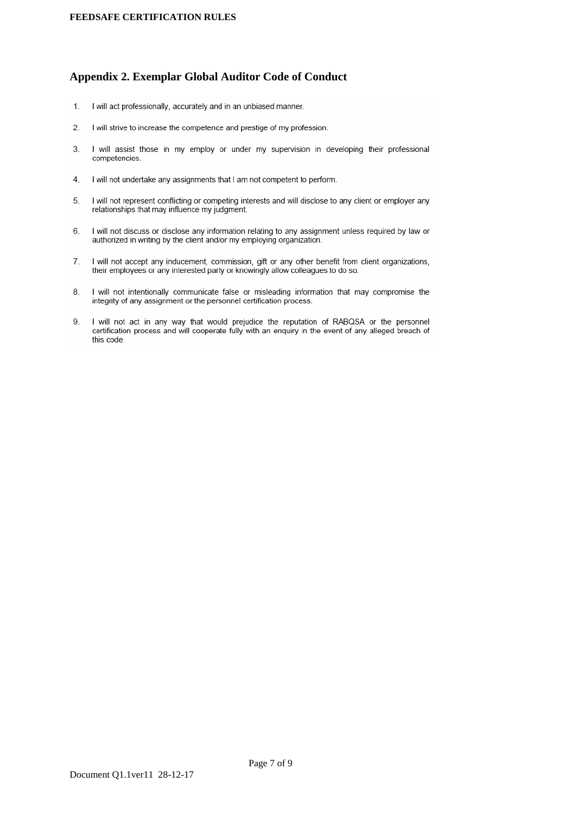#### **Appendix 2. Exemplar Global Auditor Code of Conduct**

- $1.$ I will act professionally, accurately and in an unbiased manner.
- $\overline{2}$ . I will strive to increase the competence and prestige of my profession.
- 3. I will assist those in my employ or under my supervision in developing their professional competencies.
- $\overline{4}$ I will not undertake any assignments that I am not competent to perform.
- 5. I will not represent conflicting or competing interests and will disclose to any client or employer any relationships that may influence my judament.
- 6. I will not discuss or disclose any information relating to any assignment unless required by law or authorized in writing by the client and/or my employing organization.
- $\overline{7}$ . I will not accept any inducement, commission, gift or any other benefit from client organizations, their employees or any interested party or knowingly allow colleagues to do so.
- I will not intentionally communicate false or misleading information that may compromise the 8. integrity of any assignment or the personnel certification process.
- 9. I will not act in any way that would prejudice the reputation of RABQSA or the personnel certification process and will cooperate fully with an enquiry in the event of any alleged breach of this code.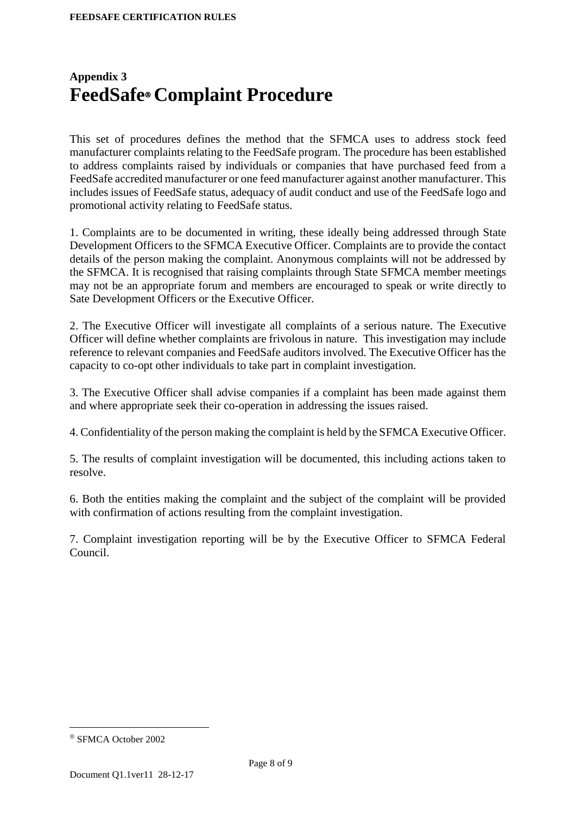## **Appendix 3 FeedSafe Complaint Procedure**

This set of procedures defines the method that the SFMCA uses to address stock feed manufacturer complaints relating to the FeedSafe program. The procedure has been established to address complaints raised by individuals or companies that have purchased feed from a FeedSafe accredited manufacturer or one feed manufacturer against another manufacturer. This includes issues of FeedSafe status, adequacy of audit conduct and use of the FeedSafe logo and promotional activity relating to FeedSafe status.

1. Complaints are to be documented in writing, these ideally being addressed through State Development Officers to the SFMCA Executive Officer. Complaints are to provide the contact details of the person making the complaint. Anonymous complaints will not be addressed by the SFMCA. It is recognised that raising complaints through State SFMCA member meetings may not be an appropriate forum and members are encouraged to speak or write directly to Sate Development Officers or the Executive Officer.

2. The Executive Officer will investigate all complaints of a serious nature. The Executive Officer will define whether complaints are frivolous in nature. This investigation may include reference to relevant companies and FeedSafe auditors involved. The Executive Officer has the capacity to co-opt other individuals to take part in complaint investigation.

3. The Executive Officer shall advise companies if a complaint has been made against them and where appropriate seek their co-operation in addressing the issues raised.

4. Confidentiality of the person making the complaint is held by the SFMCA Executive Officer.

5. The results of complaint investigation will be documented, this including actions taken to resolve.

6. Both the entities making the complaint and the subject of the complaint will be provided with confirmation of actions resulting from the complaint investigation.

7. Complaint investigation reporting will be by the Executive Officer to SFMCA Federal Council.

1

<sup>®</sup> SFMCA October 2002